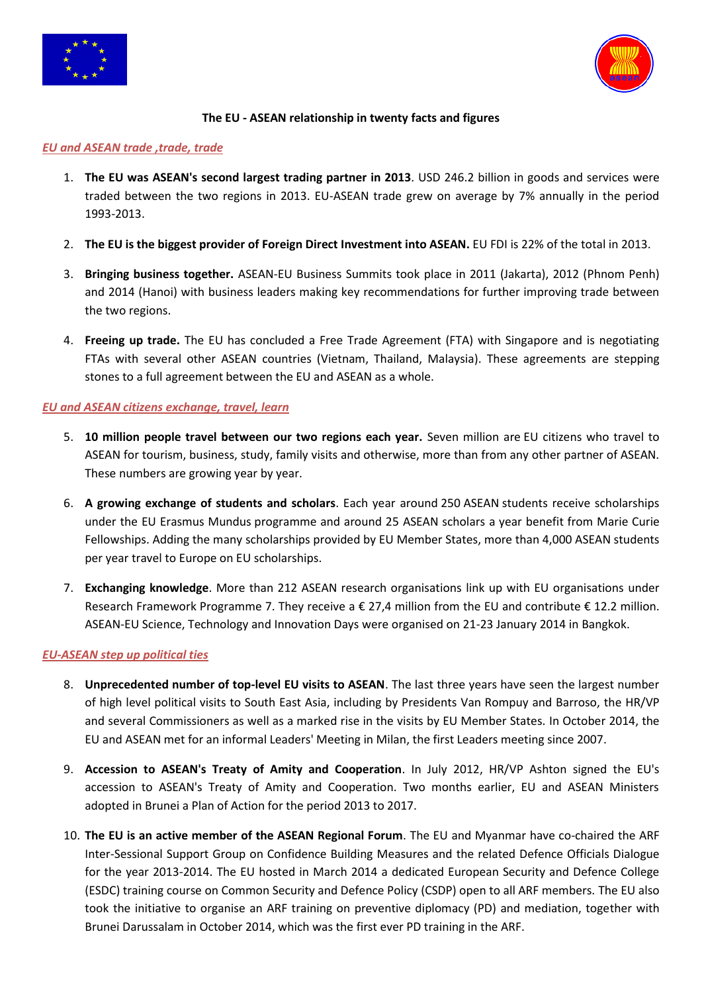



# **The EU - ASEAN relationship in twenty facts and figures**

### *EU and ASEAN trade ,trade, trade*

- 1. **The EU was ASEAN's second largest trading partner in 2013**. USD 246.2 billion in goods and services were traded between the two regions in 2013. EU-ASEAN trade grew on average by 7% annually in the period 1993-2013.
- 2. **The EU is the biggest provider of Foreign Direct Investment into ASEAN.** EU FDI is 22% of the total in 2013.
- 3. **Bringing business together.** ASEAN-EU Business Summits took place in 2011 (Jakarta), 2012 (Phnom Penh) and 2014 (Hanoi) with business leaders making key recommendations for further improving trade between the two regions.
- 4. **Freeing up trade.** The EU has concluded a Free Trade Agreement (FTA) with Singapore and is negotiating FTAs with several other ASEAN countries (Vietnam, Thailand, Malaysia). These agreements are stepping stones to a full agreement between the EU and ASEAN as a whole.

# *EU and ASEAN citizens exchange, travel, learn*

- 5. **10 million people travel between our two regions each year.** Seven million are EU citizens who travel to ASEAN for tourism, business, study, family visits and otherwise, more than from any other partner of ASEAN. These numbers are growing year by year.
- 6. **A growing exchange of students and scholars**. Each year around 250 ASEAN students receive scholarships under the EU Erasmus Mundus programme and around 25 ASEAN scholars a year benefit from Marie Curie Fellowships. Adding the many scholarships provided by EU Member States, more than 4,000 ASEAN students per year travel to Europe on EU scholarships.
- 7. **Exchanging knowledge**. More than 212 ASEAN research organisations link up with EU organisations under Research Framework Programme 7. They receive a € 27,4 million from the EU and contribute € 12.2 million. ASEAN-EU Science, Technology and Innovation Days were organised on 21-23 January 2014 in Bangkok.

# *EU-ASEAN step up political ties*

- 8. **Unprecedented number of top-level EU visits to ASEAN**. The last three years have seen the largest number of high level political visits to South East Asia, including by Presidents Van Rompuy and Barroso, the HR/VP and several Commissioners as well as a marked rise in the visits by EU Member States. In October 2014, the EU and ASEAN met for an informal Leaders' Meeting in Milan, the first Leaders meeting since 2007.
- 9. **Accession to ASEAN's Treaty of Amity and Cooperation**. In July 2012, HR/VP Ashton signed the EU's accession to ASEAN's Treaty of Amity and Cooperation. Two months earlier, EU and ASEAN Ministers adopted in Brunei a Plan of Action for the period 2013 to 2017.
- 10. **The EU is an active member of the ASEAN Regional Forum**. The EU and Myanmar have co-chaired the ARF Inter-Sessional Support Group on Confidence Building Measures and the related Defence Officials Dialogue for the year 2013-2014. The EU hosted in March 2014 a dedicated European Security and Defence College (ESDC) training course on Common Security and Defence Policy (CSDP) open to all ARF members. The EU also took the initiative to organise an ARF training on preventive diplomacy (PD) and mediation, together with Brunei Darussalam in October 2014, which was the first ever PD training in the ARF.